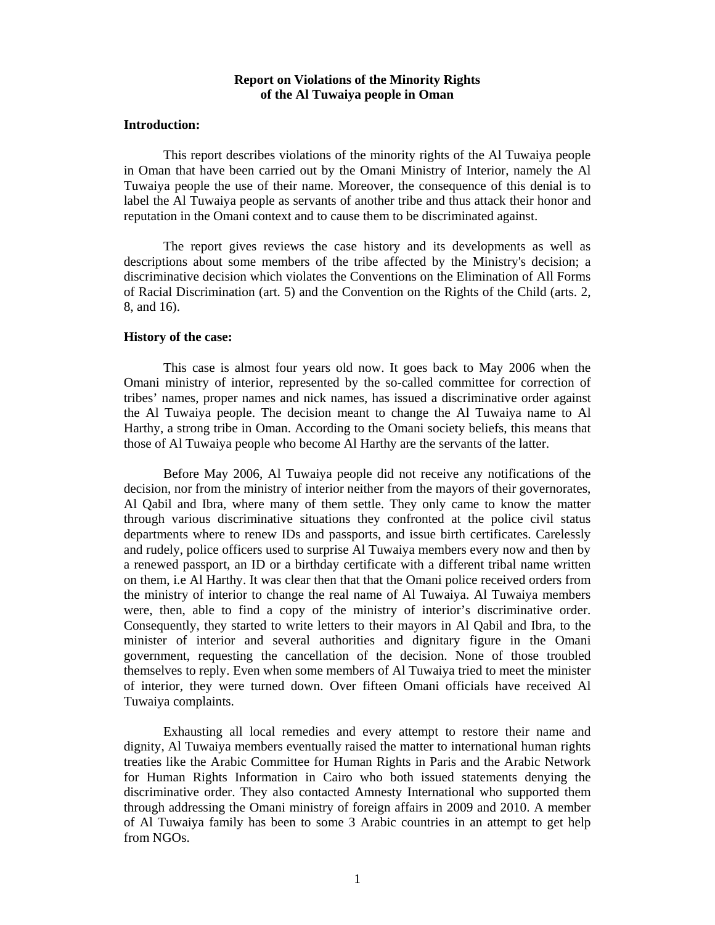## **Report on Violations of the Minority Rights of the Al Tuwaiya people in Oman**

#### **Introduction:**

This report describes violations of the minority rights of the Al Tuwaiya people in Oman that have been carried out by the Omani Ministry of Interior, namely the Al Tuwaiya people the use of their name. Moreover, the consequence of this denial is to label the Al Tuwaiya people as servants of another tribe and thus attack their honor and reputation in the Omani context and to cause them to be discriminated against.

The report gives reviews the case history and its developments as well as descriptions about some members of the tribe affected by the Ministry's decision; a discriminative decision which violates the Conventions on the Elimination of All Forms of Racial Discrimination (art. 5) and the Convention on the Rights of the Child (arts. 2, 8, and 16).

### **History of the case:**

This case is almost four years old now. It goes back to May 2006 when the Omani ministry of interior, represented by the so-called committee for correction of tribes' names, proper names and nick names, has issued a discriminative order against the Al Tuwaiya people. The decision meant to change the Al Tuwaiya name to Al Harthy, a strong tribe in Oman. According to the Omani society beliefs, this means that those of Al Tuwaiya people who become Al Harthy are the servants of the latter.

Before May 2006, Al Tuwaiya people did not receive any notifications of the decision, nor from the ministry of interior neither from the mayors of their governorates, Al Qabil and Ibra, where many of them settle. They only came to know the matter through various discriminative situations they confronted at the police civil status departments where to renew IDs and passports, and issue birth certificates. Carelessly and rudely, police officers used to surprise Al Tuwaiya members every now and then by a renewed passport, an ID or a birthday certificate with a different tribal name written on them, i.e Al Harthy. It was clear then that that the Omani police received orders from the ministry of interior to change the real name of Al Tuwaiya. Al Tuwaiya members were, then, able to find a copy of the ministry of interior's discriminative order. Consequently, they started to write letters to their mayors in Al Qabil and Ibra, to the minister of interior and several authorities and dignitary figure in the Omani government, requesting the cancellation of the decision. None of those troubled themselves to reply. Even when some members of Al Tuwaiya tried to meet the minister of interior, they were turned down. Over fifteen Omani officials have received Al Tuwaiya complaints.

 Exhausting all local remedies and every attempt to restore their name and dignity, Al Tuwaiya members eventually raised the matter to international human rights treaties like the Arabic Committee for Human Rights in Paris and the Arabic Network for Human Rights Information in Cairo who both issued statements denying the discriminative order. They also contacted Amnesty International who supported them through addressing the Omani ministry of foreign affairs in 2009 and 2010. A member of Al Tuwaiya family has been to some 3 Arabic countries in an attempt to get help from NGOs.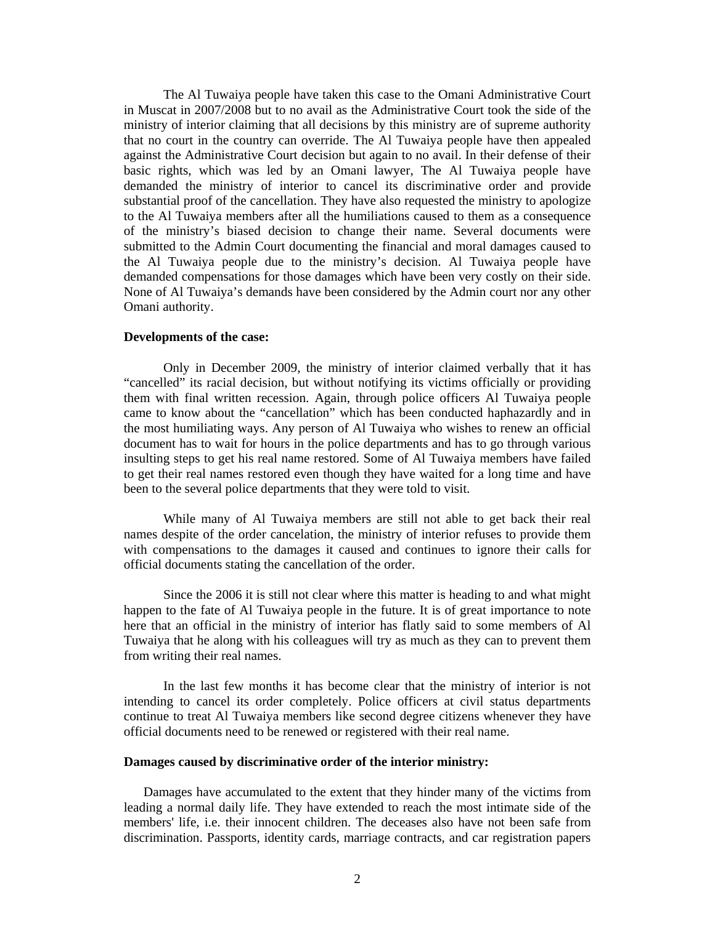The Al Tuwaiya people have taken this case to the Omani Administrative Court in Muscat in 2007/2008 but to no avail as the Administrative Court took the side of the ministry of interior claiming that all decisions by this ministry are of supreme authority that no court in the country can override. The Al Tuwaiya people have then appealed against the Administrative Court decision but again to no avail. In their defense of their basic rights, which was led by an Omani lawyer, The Al Tuwaiya people have demanded the ministry of interior to cancel its discriminative order and provide substantial proof of the cancellation. They have also requested the ministry to apologize to the Al Tuwaiya members after all the humiliations caused to them as a consequence of the ministry's biased decision to change their name. Several documents were submitted to the Admin Court documenting the financial and moral damages caused to the Al Tuwaiya people due to the ministry's decision. Al Tuwaiya people have demanded compensations for those damages which have been very costly on their side. None of Al Tuwaiya's demands have been considered by the Admin court nor any other Omani authority.

#### **Developments of the case:**

Only in December 2009, the ministry of interior claimed verbally that it has "cancelled" its racial decision, but without notifying its victims officially or providing them with final written recession. Again, through police officers Al Tuwaiya people came to know about the "cancellation" which has been conducted haphazardly and in the most humiliating ways. Any person of Al Tuwaiya who wishes to renew an official document has to wait for hours in the police departments and has to go through various insulting steps to get his real name restored. Some of Al Tuwaiya members have failed to get their real names restored even though they have waited for a long time and have been to the several police departments that they were told to visit.

 While many of Al Tuwaiya members are still not able to get back their real names despite of the order cancelation, the ministry of interior refuses to provide them with compensations to the damages it caused and continues to ignore their calls for official documents stating the cancellation of the order.

Since the 2006 it is still not clear where this matter is heading to and what might happen to the fate of Al Tuwaiya people in the future. It is of great importance to note here that an official in the ministry of interior has flatly said to some members of Al Tuwaiya that he along with his colleagues will try as much as they can to prevent them from writing their real names.

In the last few months it has become clear that the ministry of interior is not intending to cancel its order completely. Police officers at civil status departments continue to treat Al Tuwaiya members like second degree citizens whenever they have official documents need to be renewed or registered with their real name.

#### **Damages caused by discriminative order of the interior ministry:**

Damages have accumulated to the extent that they hinder many of the victims from leading a normal daily life. They have extended to reach the most intimate side of the members' life, i.e. their innocent children. The deceases also have not been safe from discrimination. Passports, identity cards, marriage contracts, and car registration papers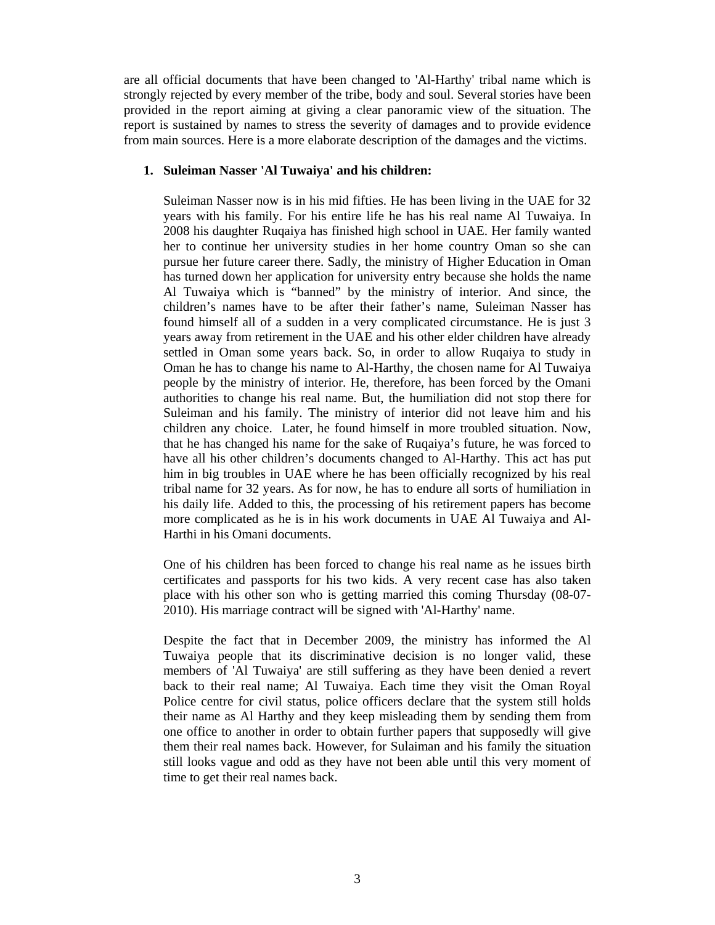are all official documents that have been changed to 'Al-Harthy' tribal name which is strongly rejected by every member of the tribe, body and soul. Several stories have been provided in the report aiming at giving a clear panoramic view of the situation. The report is sustained by names to stress the severity of damages and to provide evidence from main sources. Here is a more elaborate description of the damages and the victims.

# **1. Suleiman Nasser 'Al Tuwaiya' and his children:**

Suleiman Nasser now is in his mid fifties. He has been living in the UAE for 32 years with his family. For his entire life he has his real name Al Tuwaiya. In 2008 his daughter Ruqaiya has finished high school in UAE. Her family wanted her to continue her university studies in her home country Oman so she can pursue her future career there. Sadly, the ministry of Higher Education in Oman has turned down her application for university entry because she holds the name Al Tuwaiya which is "banned" by the ministry of interior. And since, the children's names have to be after their father's name, Suleiman Nasser has found himself all of a sudden in a very complicated circumstance. He is just 3 years away from retirement in the UAE and his other elder children have already settled in Oman some years back. So, in order to allow Ruqaiya to study in Oman he has to change his name to Al-Harthy, the chosen name for Al Tuwaiya people by the ministry of interior. He, therefore, has been forced by the Omani authorities to change his real name. But, the humiliation did not stop there for Suleiman and his family. The ministry of interior did not leave him and his children any choice. Later, he found himself in more troubled situation. Now, that he has changed his name for the sake of Ruqaiya's future, he was forced to have all his other children's documents changed to Al-Harthy. This act has put him in big troubles in UAE where he has been officially recognized by his real tribal name for 32 years. As for now, he has to endure all sorts of humiliation in his daily life. Added to this, the processing of his retirement papers has become more complicated as he is in his work documents in UAE Al Tuwaiya and Al-Harthi in his Omani documents.

One of his children has been forced to change his real name as he issues birth certificates and passports for his two kids. A very recent case has also taken place with his other son who is getting married this coming Thursday (08-07- 2010). His marriage contract will be signed with 'Al-Harthy' name.

Despite the fact that in December 2009, the ministry has informed the Al Tuwaiya people that its discriminative decision is no longer valid, these members of 'Al Tuwaiya' are still suffering as they have been denied a revert back to their real name; Al Tuwaiya. Each time they visit the Oman Royal Police centre for civil status, police officers declare that the system still holds their name as Al Harthy and they keep misleading them by sending them from one office to another in order to obtain further papers that supposedly will give them their real names back. However, for Sulaiman and his family the situation still looks vague and odd as they have not been able until this very moment of time to get their real names back.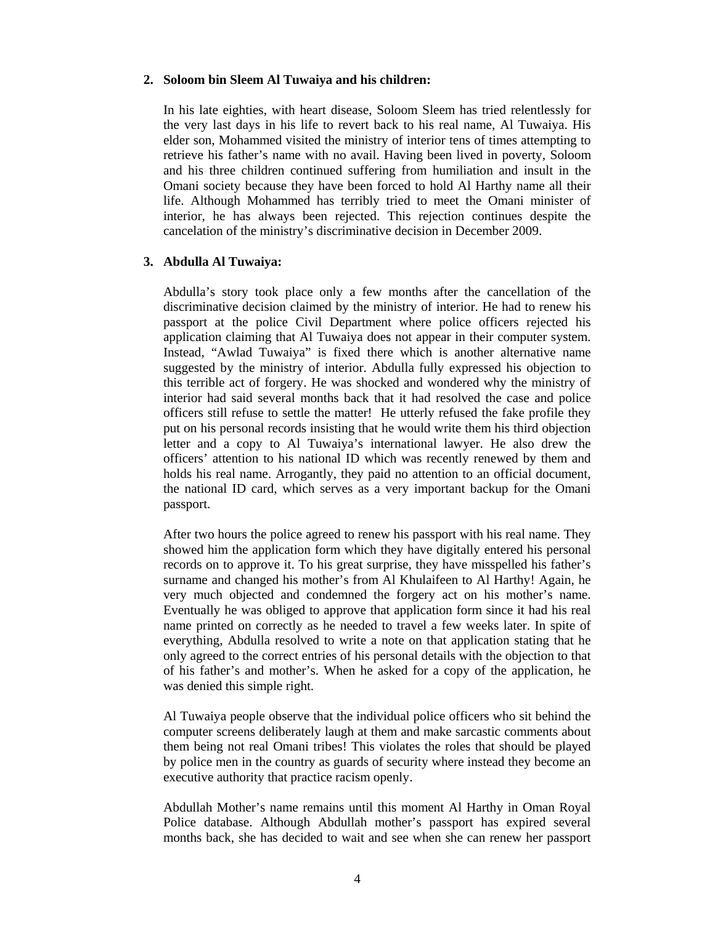# **2. Soloom bin Sleem Al Tuwaiya and his children:**

In his late eighties, with heart disease, Soloom Sleem has tried relentlessly for the very last days in his life to revert back to his real name, Al Tuwaiya. His elder son, Mohammed visited the ministry of interior tens of times attempting to retrieve his father's name with no avail. Having been lived in poverty, Soloom and his three children continued suffering from humiliation and insult in the Omani society because they have been forced to hold Al Harthy name all their life. Although Mohammed has terribly tried to meet the Omani minister of interior, he has always been rejected. This rejection continues despite the cancelation of the ministry's discriminative decision in December 2009.

# **3. Abdulla Al Tuwaiya:**

Abdulla's story took place only a few months after the cancellation of the discriminative decision claimed by the ministry of interior. He had to renew his passport at the police Civil Department where police officers rejected his application claiming that Al Tuwaiya does not appear in their computer system. Instead, "Awlad Tuwaiya" is fixed there which is another alternative name suggested by the ministry of interior. Abdulla fully expressed his objection to this terrible act of forgery. He was shocked and wondered why the ministry of interior had said several months back that it had resolved the case and police officers still refuse to settle the matter! He utterly refused the fake profile they put on his personal records insisting that he would write them his third objection letter and a copy to Al Tuwaiya's international lawyer. He also drew the officers' attention to his national ID which was recently renewed by them and holds his real name. Arrogantly, they paid no attention to an official document, the national ID card, which serves as a very important backup for the Omani passport.

After two hours the police agreed to renew his passport with his real name. They showed him the application form which they have digitally entered his personal records on to approve it. To his great surprise, they have misspelled his father's surname and changed his mother's from Al Khulaifeen to Al Harthy! Again, he very much objected and condemned the forgery act on his mother's name. Eventually he was obliged to approve that application form since it had his real name printed on correctly as he needed to travel a few weeks later. In spite of everything, Abdulla resolved to write a note on that application stating that he only agreed to the correct entries of his personal details with the objection to that of his father's and mother's. When he asked for a copy of the application, he was denied this simple right.

Al Tuwaiya people observe that the individual police officers who sit behind the computer screens deliberately laugh at them and make sarcastic comments about them being not real Omani tribes! This violates the roles that should be played by police men in the country as guards of security where instead they become an executive authority that practice racism openly.

Abdullah Mother's name remains until this moment Al Harthy in Oman Royal Police database. Although Abdullah mother's passport has expired several months back, she has decided to wait and see when she can renew her passport